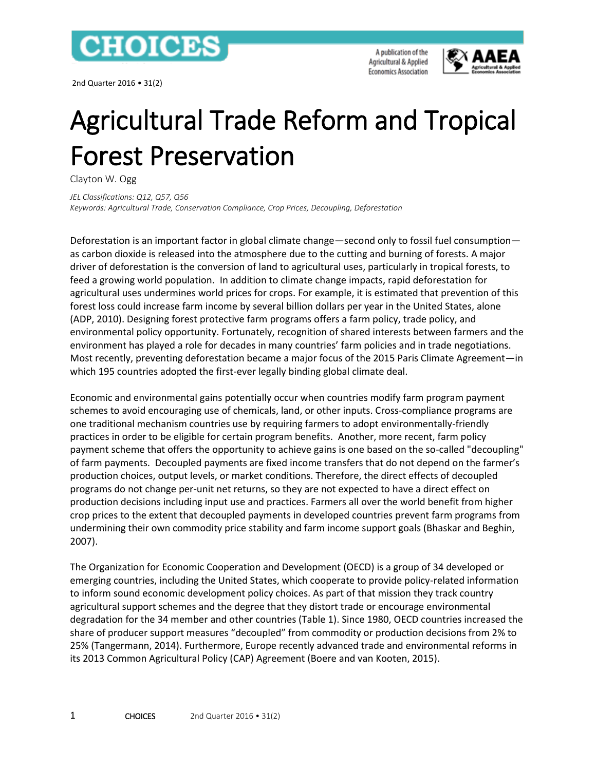

2nd Quarter 2016 • 31(2)

A publication of the Agricultural & Applied **Economics Association** 



# Agricultural Trade Reform and Tropical Forest Preservation

Clayton W. Ogg

*JEL Classifications: Q12, Q57, Q56 Keywords: Agricultural Trade, Conservation Compliance, Crop Prices, Decoupling, Deforestation*

Deforestation is an important factor in global climate change—second only to fossil fuel consumption as carbon dioxide is released into the atmosphere due to the cutting and burning of forests. A major driver of deforestation is the conversion of land to agricultural uses, particularly in tropical forests, to feed a growing world population. In addition to climate change impacts, rapid deforestation for agricultural uses undermines world prices for crops. For example, it is estimated that prevention of this forest loss could increase farm income by several billion dollars per year in the United States, alone (ADP, 2010). Designing forest protective farm programs offers a farm policy, trade policy, and environmental policy opportunity. Fortunately, recognition of shared interests between farmers and the environment has played a role for decades in many countries' farm policies and in trade negotiations. Most recently, preventing deforestation became a major focus of the 2015 Paris Climate Agreement—in which 195 countries adopted the first-ever legally binding global climate deal.

Economic and environmental gains potentially occur when countries modify farm program payment schemes to avoid encouraging use of chemicals, land, or other inputs. Cross-compliance programs are one traditional mechanism countries use by requiring farmers to adopt environmentally-friendly practices in order to be eligible for certain program benefits. Another, more recent, farm policy payment scheme that offers the opportunity to achieve gains is one based on the so-called "decoupling" of farm payments. Decoupled payments are fixed income transfers that do not depend on the farmer's production choices, output levels, or market conditions. Therefore, the direct effects of decoupled programs do not change per-unit net returns, so they are not expected to have a direct effect on production decisions including input use and practices. Farmers all over the world benefit from higher crop prices to the extent that decoupled payments in developed countries prevent farm programs from undermining their own commodity price stability and farm income support goals (Bhaskar and Beghin, 2007).

The Organization for Economic Cooperation and Development (OECD) is a group of 34 developed or emerging countries, including the United States, which cooperate to provide policy-related information to inform sound economic development policy choices. As part of that mission they track country agricultural support schemes and the degree that they distort trade or encourage environmental degradation for the 34 member and other countries (Table 1). Since 1980, OECD countries increased the share of producer support measures "decoupled" from commodity or production decisions from 2% to 25% (Tangermann, 2014). Furthermore, Europe recently advanced trade and environmental reforms in its 2013 Common Agricultural Policy (CAP) Agreement (Boere and van Kooten, 2015).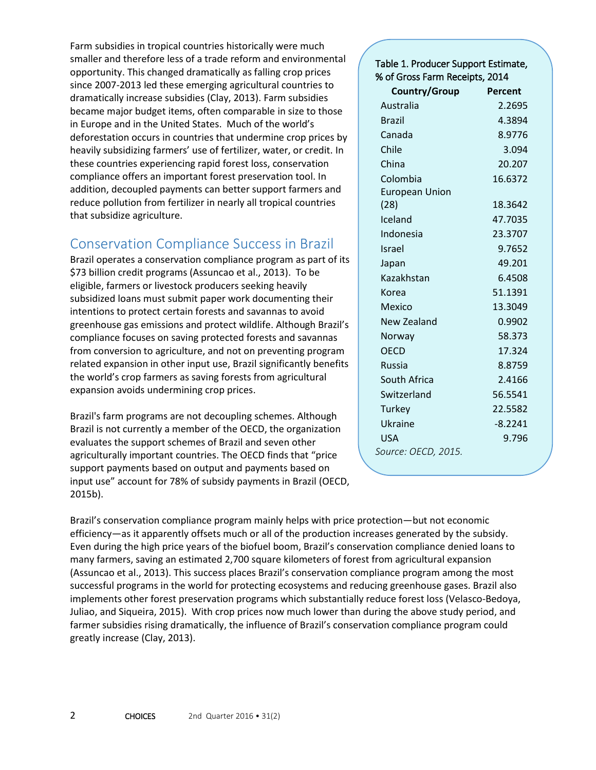Farm subsidies in tropical countries historically were much smaller and therefore less of a trade reform and environmental opportunity. This changed dramatically as falling crop prices since 2007-2013 led these emerging agricultural countries to dramatically increase subsidies (Clay, 2013). Farm subsidies became major budget items, often comparable in size to those in Europe and in the United States. Much of the world's deforestation occurs in countries that undermine crop prices by heavily subsidizing farmers' use of fertilizer, water, or credit. In these countries experiencing rapid forest loss, conservation compliance offers an important forest preservation tool. In addition, decoupled payments can better support farmers and reduce pollution from fertilizer in nearly all tropical countries that subsidize agriculture.

## Conservation Compliance Success in Brazil

Brazil operates a conservation compliance program as part of its \$73 billion credit programs (Assuncao et al., 2013). To be eligible, farmers or livestock producers seeking heavily subsidized loans must submit paper work documenting their intentions to protect certain forests and savannas to avoid greenhouse gas emissions and protect wildlife. Although Brazil's compliance focuses on saving protected forests and savannas from conversion to agriculture, and not on preventing program related expansion in other input use, Brazil significantly benefits the world's crop farmers as saving forests from agricultural expansion avoids undermining crop prices.

Brazil's farm programs are not decoupling schemes. Although Brazil is not currently a member of the OECD, the organization evaluates the support schemes of Brazil and seven other agriculturally important countries. The OECD finds that "price support payments based on output and payments based on input use" account for 78% of subsidy payments in Brazil (OECD, 2015b).

| Table 1. Producer Support Estimate,<br>% of Gross Farm Receipts, 2014 |           |
|-----------------------------------------------------------------------|-----------|
| Country/Group                                                         | Percent   |
| Australia                                                             | 2.2695    |
| <b>Brazil</b>                                                         | 4.3894    |
| Canada                                                                | 8.9776    |
| Chile                                                                 | 3.094     |
| China                                                                 | 20.207    |
| Colombia                                                              | 16.6372   |
| <b>European Union</b>                                                 |           |
| (28)                                                                  | 18.3642   |
| Iceland                                                               | 47.7035   |
| Indonesia                                                             | 23.3707   |
| Israel                                                                | 9.7652    |
| Japan                                                                 | 49.201    |
| Kazakhstan                                                            | 6.4508    |
| Korea                                                                 | 51.1391   |
| Mexico                                                                | 13.3049   |
| New Zealand                                                           | 0.9902    |
| Norway                                                                | 58.373    |
| OFCD                                                                  | 17.324    |
| Russia                                                                | 8.8759    |
| South Africa                                                          | 2.4166    |
| Switzerland                                                           | 56.5541   |
| <b>Turkey</b>                                                         | 22.5582   |
| Ukraine                                                               | $-8.2241$ |
| <b>USA</b>                                                            | 9.796     |
| Source: OECD, 2015.                                                   |           |

Brazil's conservation compliance program mainly helps with price protection—but not economic efficiency—as it apparently offsets much or all of the production increases generated by the subsidy. Even during the high price years of the biofuel boom, Brazil's conservation compliance denied loans to many farmers, saving an estimated 2,700 square kilometers of forest from agricultural expansion (Assuncao et al., 2013). This success places Brazil's conservation compliance program among the most successful programs in the world for protecting ecosystems and reducing greenhouse gases. Brazil also implements other forest preservation programs which substantially reduce forest loss (Velasco-Bedoya, Juliao, and Siqueira, 2015). With crop prices now much lower than during the above study period, and farmer subsidies rising dramatically, the influence of Brazil's conservation compliance program could greatly increase (Clay, 2013).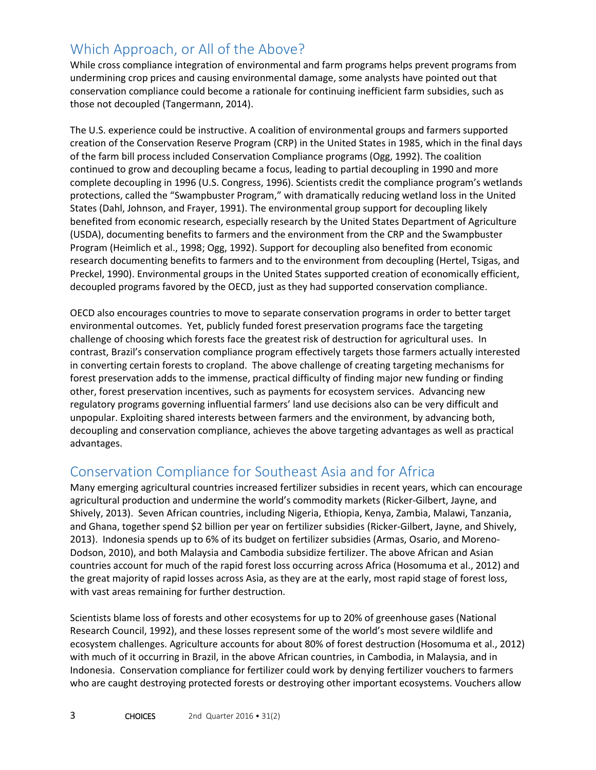## Which Approach, or All of the Above?

While cross compliance integration of environmental and farm programs helps prevent programs from undermining crop prices and causing environmental damage, some analysts have pointed out that conservation compliance could become a rationale for continuing inefficient farm subsidies, such as those not decoupled (Tangermann, 2014).

The U.S. experience could be instructive. A coalition of environmental groups and farmers supported creation of the Conservation Reserve Program (CRP) in the United States in 1985, which in the final days of the farm bill process included Conservation Compliance programs (Ogg, 1992). The coalition continued to grow and decoupling became a focus, leading to partial decoupling in 1990 and more complete decoupling in 1996 (U.S. Congress, 1996). Scientists credit the compliance program's wetlands protections, called the "Swampbuster Program," with dramatically reducing wetland loss in the United States (Dahl, Johnson, and Frayer, 1991). The environmental group support for decoupling likely benefited from economic research, especially research by the United States Department of Agriculture (USDA), documenting benefits to farmers and the environment from the CRP and the Swampbuster Program (Heimlich et al., 1998; Ogg, 1992). Support for decoupling also benefited from economic research documenting benefits to farmers and to the environment from decoupling (Hertel, Tsigas, and Preckel, 1990). Environmental groups in the United States supported creation of economically efficient, decoupled programs favored by the OECD, just as they had supported conservation compliance.

OECD also encourages countries to move to separate conservation programs in order to better target environmental outcomes. Yet, publicly funded forest preservation programs face the targeting challenge of choosing which forests face the greatest risk of destruction for agricultural uses. In contrast, Brazil's conservation compliance program effectively targets those farmers actually interested in converting certain forests to cropland. The above challenge of creating targeting mechanisms for forest preservation adds to the immense, practical difficulty of finding major new funding or finding other, forest preservation incentives, such as payments for ecosystem services. Advancing new regulatory programs governing influential farmers' land use decisions also can be very difficult and unpopular. Exploiting shared interests between farmers and the environment, by advancing both, decoupling and conservation compliance, achieves the above targeting advantages as well as practical advantages.

#### Conservation Compliance for Southeast Asia and for Africa

Many emerging agricultural countries increased fertilizer subsidies in recent years, which can encourage agricultural production and undermine the world's commodity markets (Ricker-Gilbert, Jayne, and Shively, 2013). Seven African countries, including Nigeria, Ethiopia, Kenya, Zambia, Malawi, Tanzania, and Ghana, together spend \$2 billion per year on fertilizer subsidies (Ricker-Gilbert, Jayne, and Shively, 2013). Indonesia spends up to 6% of its budget on fertilizer subsidies (Armas, Osario, and Moreno-Dodson, 2010), and both Malaysia and Cambodia subsidize fertilizer. The above African and Asian countries account for much of the rapid forest loss occurring across Africa (Hosomuma et al., 2012) and the great majority of rapid losses across Asia, as they are at the early, most rapid stage of forest loss, with vast areas remaining for further destruction.

Scientists blame loss of forests and other ecosystems for up to 20% of greenhouse gases (National Research Council, 1992), and these losses represent some of the world's most severe wildlife and ecosystem challenges. Agriculture accounts for about 80% of forest destruction (Hosomuma et al., 2012) with much of it occurring in Brazil, in the above African countries, in Cambodia, in Malaysia, and in Indonesia. Conservation compliance for fertilizer could work by denying fertilizer vouchers to farmers who are caught destroying protected forests or destroying other important ecosystems. Vouchers allow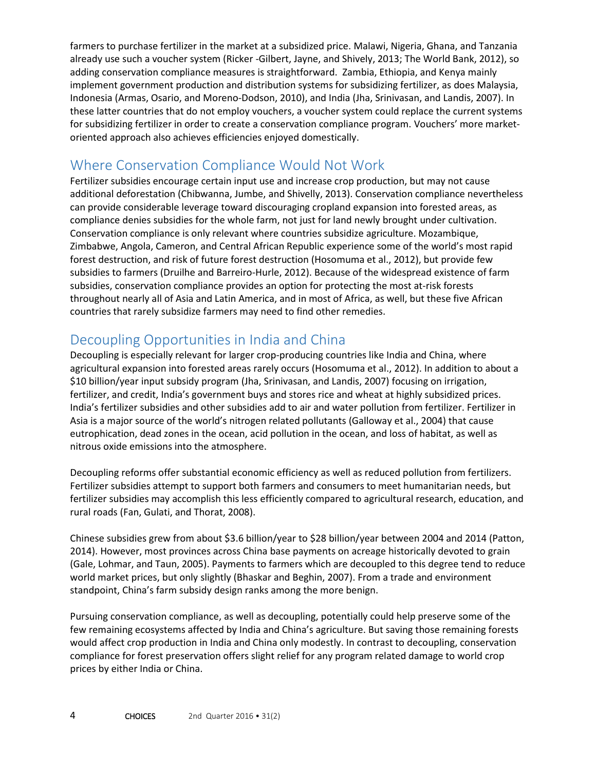farmers to purchase fertilizer in the market at a subsidized price. Malawi, Nigeria, Ghana, and Tanzania already use such a voucher system (Ricker -Gilbert, Jayne, and Shively, 2013; The World Bank, 2012), so adding conservation compliance measures is straightforward. Zambia, Ethiopia, and Kenya mainly implement government production and distribution systems for subsidizing fertilizer, as does Malaysia, Indonesia (Armas, Osario, and Moreno-Dodson, 2010), and India (Jha, Srinivasan, and Landis, 2007). In these latter countries that do not employ vouchers, a voucher system could replace the current systems for subsidizing fertilizer in order to create a conservation compliance program. Vouchers' more marketoriented approach also achieves efficiencies enjoyed domestically.

## Where Conservation Compliance Would Not Work

Fertilizer subsidies encourage certain input use and increase crop production, but may not cause additional deforestation (Chibwanna, Jumbe, and Shivelly, 2013). Conservation compliance nevertheless can provide considerable leverage toward discouraging cropland expansion into forested areas, as compliance denies subsidies for the whole farm, not just for land newly brought under cultivation. Conservation compliance is only relevant where countries subsidize agriculture. Mozambique, Zimbabwe, Angola, Cameron, and Central African Republic experience some of the world's most rapid forest destruction, and risk of future forest destruction (Hosomuma et al., 2012), but provide few subsidies to farmers (Druilhe and Barreiro-Hurle, 2012). Because of the widespread existence of farm subsidies, conservation compliance provides an option for protecting the most at-risk forests throughout nearly all of Asia and Latin America, and in most of Africa, as well, but these five African countries that rarely subsidize farmers may need to find other remedies.

## Decoupling Opportunities in India and China

Decoupling is especially relevant for larger crop-producing countries like India and China, where agricultural expansion into forested areas rarely occurs (Hosomuma et al., 2012). In addition to about a \$10 billion/year input subsidy program (Jha, Srinivasan, and Landis, 2007) focusing on irrigation, fertilizer, and credit, India's government buys and stores rice and wheat at highly subsidized prices. India's fertilizer subsidies and other subsidies add to air and water pollution from fertilizer. Fertilizer in Asia is a major source of the world's nitrogen related pollutants (Galloway et al., 2004) that cause eutrophication, dead zones in the ocean, acid pollution in the ocean, and loss of habitat, as well as nitrous oxide emissions into the atmosphere.

Decoupling reforms offer substantial economic efficiency as well as reduced pollution from fertilizers. Fertilizer subsidies attempt to support both farmers and consumers to meet humanitarian needs, but fertilizer subsidies may accomplish this less efficiently compared to agricultural research, education, and rural roads (Fan, Gulati, and Thorat, 2008).

Chinese subsidies grew from about \$3.6 billion/year to \$28 billion/year between 2004 and 2014 (Patton, 2014). However, most provinces across China base payments on acreage historically devoted to grain (Gale, Lohmar, and Taun, 2005). Payments to farmers which are decoupled to this degree tend to reduce world market prices, but only slightly (Bhaskar and Beghin, 2007). From a trade and environment standpoint, China's farm subsidy design ranks among the more benign.

Pursuing conservation compliance, as well as decoupling, potentially could help preserve some of the few remaining ecosystems affected by India and China's agriculture. But saving those remaining forests would affect crop production in India and China only modestly. In contrast to decoupling, conservation compliance for forest preservation offers slight relief for any program related damage to world crop prices by either India or China.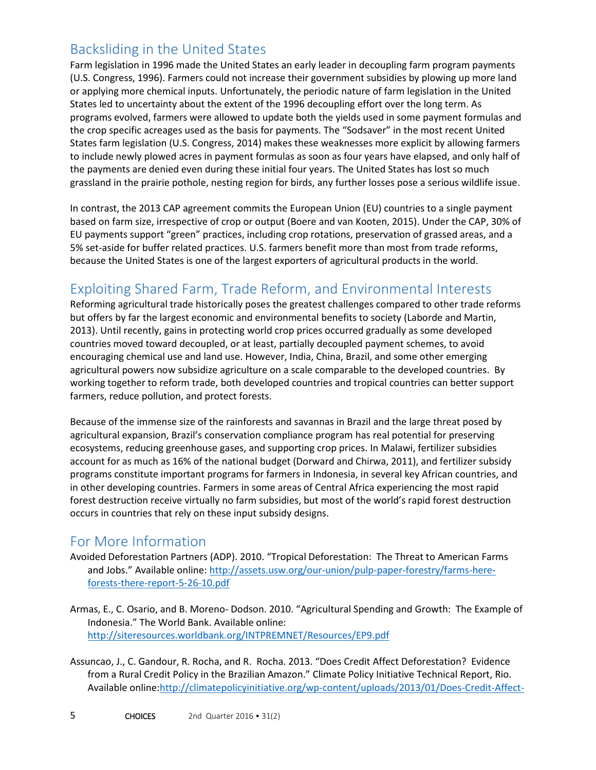## Backsliding in the United States

Farm legislation in 1996 made the United States an early leader in decoupling farm program payments (U.S. Congress, 1996). Farmers could not increase their government subsidies by plowing up more land or applying more chemical inputs. Unfortunately, the periodic nature of farm legislation in the United States led to uncertainty about the extent of the 1996 decoupling effort over the long term. As programs evolved, farmers were allowed to update both the yields used in some payment formulas and the crop specific acreages used as the basis for payments. The "Sodsaver" in the most recent United States farm legislation (U.S. Congress, 2014) makes these weaknesses more explicit by allowing farmers to include newly plowed acres in payment formulas as soon as four years have elapsed, and only half of the payments are denied even during these initial four years. The United States has lost so much grassland in the prairie pothole, nesting region for birds, any further losses pose a serious wildlife issue.

In contrast, the 2013 CAP agreement commits the European Union (EU) countries to a single payment based on farm size, irrespective of crop or output (Boere and van Kooten, 2015). Under the CAP, 30% of EU payments support "green" practices, including crop rotations, preservation of grassed areas, and a 5% set-aside for buffer related practices. U.S. farmers benefit more than most from trade reforms, because the United States is one of the largest exporters of agricultural products in the world.

#### Exploiting Shared Farm, Trade Reform, and Environmental Interests

Reforming agricultural trade historically poses the greatest challenges compared to other trade reforms but offers by far the largest economic and environmental benefits to society (Laborde and Martin, 2013). Until recently, gains in protecting world crop prices occurred gradually as some developed countries moved toward decoupled, or at least, partially decoupled payment schemes, to avoid encouraging chemical use and land use. However, India, China, Brazil, and some other emerging agricultural powers now subsidize agriculture on a scale comparable to the developed countries. By working together to reform trade, both developed countries and tropical countries can better support farmers, reduce pollution, and protect forests.

Because of the immense size of the rainforests and savannas in Brazil and the large threat posed by agricultural expansion, Brazil's conservation compliance program has real potential for preserving ecosystems, reducing greenhouse gases, and supporting crop prices. In Malawi, fertilizer subsidies account for as much as 16% of the national budget (Dorward and Chirwa, 2011), and fertilizer subsidy programs constitute important programs for farmers in Indonesia, in several key African countries, and in other developing countries. Farmers in some areas of Central Africa experiencing the most rapid forest destruction receive virtually no farm subsidies, but most of the world's rapid forest destruction occurs in countries that rely on these input subsidy designs.

#### For More Information

- Avoided Deforestation Partners (ADP). 2010. "Tropical Deforestation: The Threat to American Farms and Jobs." Available online: [http://assets.usw.org/our-union/pulp-paper-forestry/farms-here](http://assets.usw.org/our-union/pulp-paper-forestry/farms-here-forests-there-report-5-26-10.pdf)[forests-there-report-5-26-10.pdf](http://assets.usw.org/our-union/pulp-paper-forestry/farms-here-forests-there-report-5-26-10.pdf)
- Armas, E., C. Osario, and B. Moreno- Dodson. 2010. "Agricultural Spending and Growth: The Example of Indonesia." The World Bank. Available online: <http://siteresources.worldbank.org/INTPREMNET/Resources/EP9.pdf>
- Assuncao, J., C. Gandour, R. Rocha, and R. Rocha. 2013. "Does Credit Affect Deforestation? Evidence from a Rural Credit Policy in the Brazilian Amazon." Climate Policy Initiative Technical Report, Rio. Available online[:http://climatepolicyinitiative.org/wp-content/uploads/2013/01/Does-Credit-Affect-](http://climatepolicyinitiative.org/wp-content/uploads/2013/01/Does-Credit-Affect-Deforestation-Evidence-from-a-Rural-Credit-Policy-in-the-Brazilian-Amazon-Technical-Paper-English.pdf)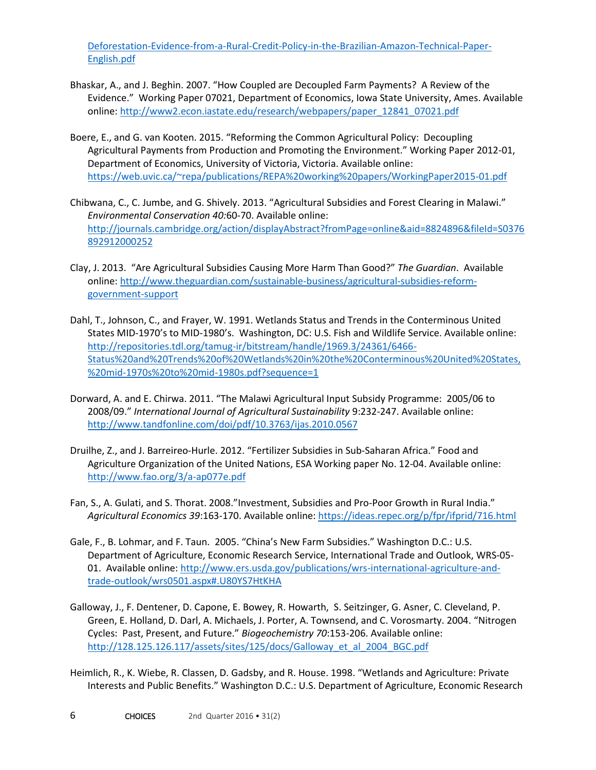[Deforestation-Evidence-from-a-Rural-Credit-Policy-in-the-Brazilian-Amazon-Technical-Paper-](http://climatepolicyinitiative.org/wp-content/uploads/2013/01/Does-Credit-Affect-Deforestation-Evidence-from-a-Rural-Credit-Policy-in-the-Brazilian-Amazon-Technical-Paper-English.pdf)[English.pdf](http://climatepolicyinitiative.org/wp-content/uploads/2013/01/Does-Credit-Affect-Deforestation-Evidence-from-a-Rural-Credit-Policy-in-the-Brazilian-Amazon-Technical-Paper-English.pdf)

- Bhaskar, A., and J. Beghin. 2007. "How Coupled are Decoupled Farm Payments? A Review of the Evidence." Working Paper 07021, Department of Economics, Iowa State University, Ames. Available online: [http://www2.econ.iastate.edu/research/webpapers/paper\\_12841\\_07021.pdf](http://www2.econ.iastate.edu/research/webpapers/paper_12841_07021.pdf)
- Boere, E., and G. van Kooten. 2015. "Reforming the Common Agricultural Policy: Decoupling Agricultural Payments from Production and Promoting the Environment." Working Paper 2012-01, Department of Economics, University of Victoria, Victoria. Available online: <https://web.uvic.ca/~repa/publications/REPA%20working%20papers/WorkingPaper2015-01.pdf>
- Chibwana, C., C. Jumbe, and G. Shively. 2013. "Agricultural Subsidies and Forest Clearing in Malawi." *Environmental Conservation 40:*60-70. Available online: [http://journals.cambridge.org/action/displayAbstract?fromPage=online&aid=8824896&fileId=S0376](http://journals.cambridge.org/action/displayAbstract?fromPage=online&aid=8824896&fileId=S0376892912000252) [892912000252](http://journals.cambridge.org/action/displayAbstract?fromPage=online&aid=8824896&fileId=S0376892912000252)
- Clay, J. 2013. "Are Agricultural Subsidies Causing More Harm Than Good?" *The Guardian*. Available online: [http://www.theguardian.com/sustainable-business/agricultural-subsidies-reform](http://www.theguardian.com/sustainable-business/agricultural-subsidies-reform-government-support)[government-support](http://www.theguardian.com/sustainable-business/agricultural-subsidies-reform-government-support)
- Dahl, T., Johnson, C., and Frayer, W. 1991. Wetlands Status and Trends in the Conterminous United States MID-1970's to MID-1980's. Washington, DC: U.S. Fish and Wildlife Service. Available online: [http://repositories.tdl.org/tamug-ir/bitstream/handle/1969.3/24361/6466-](http://repositories.tdl.org/tamug-ir/bitstream/handle/1969.3/24361/6466-Status%20and%20Trends%20of%20Wetlands%20in%20the%20Conterminous%20United%20States,%20mid-1970s%20to%20mid-1980s.pdf?sequence=1) [Status%20and%20Trends%20of%20Wetlands%20in%20the%20Conterminous%20United%20States,](http://repositories.tdl.org/tamug-ir/bitstream/handle/1969.3/24361/6466-Status%20and%20Trends%20of%20Wetlands%20in%20the%20Conterminous%20United%20States,%20mid-1970s%20to%20mid-1980s.pdf?sequence=1) [%20mid-1970s%20to%20mid-1980s.pdf?sequence=1](http://repositories.tdl.org/tamug-ir/bitstream/handle/1969.3/24361/6466-Status%20and%20Trends%20of%20Wetlands%20in%20the%20Conterminous%20United%20States,%20mid-1970s%20to%20mid-1980s.pdf?sequence=1)
- Dorward, A. and E. Chirwa. 2011. "The Malawi Agricultural Input Subsidy Programme: 2005/06 to 2008/09." *International Journal of Agricultural Sustainability* 9:232-247. Available online: <http://www.tandfonline.com/doi/pdf/10.3763/ijas.2010.0567>
- Druilhe, Z., and J. Barreireo-Hurle. 2012. "Fertilizer Subsidies in Sub-Saharan Africa." Food and Agriculture Organization of the United Nations, ESA Working paper No. 12-04. Available online: <http://www.fao.org/3/a-ap077e.pdf>
- Fan, S., A. Gulati, and S. Thorat. 2008."Investment, Subsidies and Pro-Poor Growth in Rural India." *Agricultural Economics 39*:163-170. Available online:<https://ideas.repec.org/p/fpr/ifprid/716.html>
- Gale, F., B. Lohmar, and F. Taun. 2005. "China's New Farm Subsidies." Washington D.C.: U.S. Department of Agriculture, Economic Research Service, International Trade and Outlook, WRS-05- 01. Available online: [http://www.ers.usda.gov/publications/wrs-international-agriculture-and](http://www.ers.usda.gov/publications/wrs-international-agriculture-and-trade-outlook/wrs0501.aspx#.U80YS7HtKHA)[trade-outlook/wrs0501.aspx#.U80YS7HtKHA](http://www.ers.usda.gov/publications/wrs-international-agriculture-and-trade-outlook/wrs0501.aspx#.U80YS7HtKHA)
- Galloway, J., F. Dentener, D. Capone, E. Bowey, R. Howarth, S. Seitzinger, G. Asner, C. Cleveland, P. Green, E. Holland, D. Darl, A. Michaels, J. Porter, A. Townsend, and C. Vorosmarty. 2004. "Nitrogen Cycles: Past, Present, and Future." *Biogeochemistry 70*:153-206. Available online: [http://128.125.126.117/assets/sites/125/docs/Galloway\\_et\\_al\\_2004\\_BGC.pdf](http://128.125.126.117/assets/sites/125/docs/Galloway_et_al_2004_BGC.pdf)
- Heimlich, R., K. Wiebe, R. Classen, D. Gadsby, and R. House. 1998. "Wetlands and Agriculture: Private Interests and Public Benefits." Washington D.C.: U.S. Department of Agriculture, Economic Research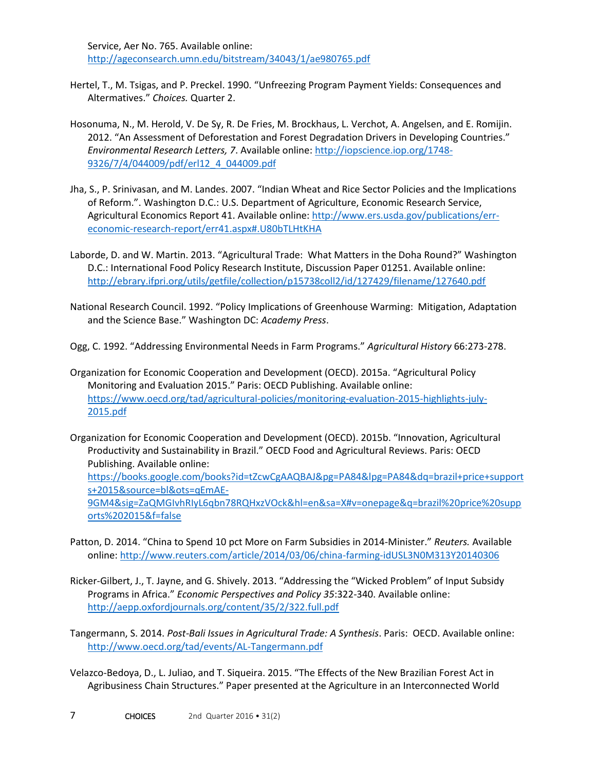Service, Aer No. 765. Available online: <http://ageconsearch.umn.edu/bitstream/34043/1/ae980765.pdf>

- Hertel, T., M. Tsigas, and P. Preckel. 1990. "Unfreezing Program Payment Yields: Consequences and Altermatives." *Choices.* Quarter 2.
- Hosonuma, N., M. Herold, V. De Sy, R. De Fries, M. Brockhaus, L. Verchot, A. Angelsen, and E. Romijin. 2012. "An Assessment of Deforestation and Forest Degradation Drivers in Developing Countries." *Environmental Research Letters, 7*. Available online[: http://iopscience.iop.org/1748-](http://iopscience.iop.org/1748-9326/7/4/044009/pdf/erl12_4_044009.pdf) [9326/7/4/044009/pdf/erl12\\_4\\_044009.pdf](http://iopscience.iop.org/1748-9326/7/4/044009/pdf/erl12_4_044009.pdf)
- Jha, S., P. Srinivasan, and M. Landes. 2007. "Indian Wheat and Rice Sector Policies and the Implications of Reform.". Washington D.C.: U.S. Department of Agriculture, Economic Research Service, Agricultural Economics Report 41. Available online[: http://www.ers.usda.gov/publications/err](http://www.ers.usda.gov/publications/err-economic-research-report/err41.aspx#.U80bTLHtKHA)[economic-research-report/err41.aspx#.U80bTLHtKHA](http://www.ers.usda.gov/publications/err-economic-research-report/err41.aspx#.U80bTLHtKHA)
- Laborde, D. and W. Martin. 2013. "Agricultural Trade: What Matters in the Doha Round?" Washington D.C.: International Food Policy Research Institute, Discussion Paper 01251. Available online: <http://ebrary.ifpri.org/utils/getfile/collection/p15738coll2/id/127429/filename/127640.pdf>
- National Research Council. 1992. "Policy Implications of Greenhouse Warming: Mitigation, Adaptation and the Science Base." Washington DC: *Academy Press*.

Ogg, C. 1992. "Addressing Environmental Needs in Farm Programs." *Agricultural History* 66:273-278.

Organization for Economic Cooperation and Development (OECD). 2015a. "Agricultural Policy Monitoring and Evaluation 2015." Paris: OECD Publishing. Available online: [https://www.oecd.org/tad/agricultural-policies/monitoring-evaluation-2015-highlights-july-](https://www.oecd.org/tad/agricultural-policies/monitoring-evaluation-2015-highlights-july-2015.pdf)[2015.pdf](https://www.oecd.org/tad/agricultural-policies/monitoring-evaluation-2015-highlights-july-2015.pdf)

Organization for Economic Cooperation and Development (OECD). 2015b. "Innovation, Agricultural Productivity and Sustainability in Brazil." OECD Food and Agricultural Reviews. Paris: OECD Publishing. Available online: [https://books.google.com/books?id=tZcwCgAAQBAJ&pg=PA84&lpg=PA84&dq=brazil+price+support](https://books.google.com/books?id=tZcwCgAAQBAJ&pg=PA84&lpg=PA84&dq=brazil+price+supports+2015&source=bl&ots=qEmAE-9GM4&sig=ZaQMGIvhRIyL6qbn78RQHxzVOck&hl=en&sa=X#v=onepage&q=brazil%20price%20supports%202015&f=false) [s+2015&source=bl&ots=qEmAE-](https://books.google.com/books?id=tZcwCgAAQBAJ&pg=PA84&lpg=PA84&dq=brazil+price+supports+2015&source=bl&ots=qEmAE-9GM4&sig=ZaQMGIvhRIyL6qbn78RQHxzVOck&hl=en&sa=X#v=onepage&q=brazil%20price%20supports%202015&f=false)[9GM4&sig=ZaQMGIvhRIyL6qbn78RQHxzVOck&hl=en&sa=X#v=onepage&q=brazil%20price%20supp](https://books.google.com/books?id=tZcwCgAAQBAJ&pg=PA84&lpg=PA84&dq=brazil+price+supports+2015&source=bl&ots=qEmAE-9GM4&sig=ZaQMGIvhRIyL6qbn78RQHxzVOck&hl=en&sa=X#v=onepage&q=brazil%20price%20supports%202015&f=false) [orts%202015&f=false](https://books.google.com/books?id=tZcwCgAAQBAJ&pg=PA84&lpg=PA84&dq=brazil+price+supports+2015&source=bl&ots=qEmAE-9GM4&sig=ZaQMGIvhRIyL6qbn78RQHxzVOck&hl=en&sa=X#v=onepage&q=brazil%20price%20supports%202015&f=false)

- Patton, D. 2014. "China to Spend 10 pct More on Farm Subsidies in 2014-Minister." *Reuters.* Available online: <http://www.reuters.com/article/2014/03/06/china-farming-idUSL3N0M313Y20140306>
- Ricker-Gilbert, J., T. Jayne, and G. Shively. 2013. "Addressing the "Wicked Problem" of Input Subsidy Programs in Africa." *Economic Perspectives and Policy 35*:322-340. Available online: <http://aepp.oxfordjournals.org/content/35/2/322.full.pdf>
- Tangermann, S. 2014. *Post-Bali Issues in Agricultural Trade: A Synthesis*. Paris: OECD. Available online: <http://www.oecd.org/tad/events/AL-Tangermann.pdf>
- Velazco-Bedoya, D., L. Juliao, and T. Siqueira. 2015. "The Effects of the New Brazilian Forest Act in Agribusiness Chain Structures." Paper presented at the Agriculture in an Interconnected World